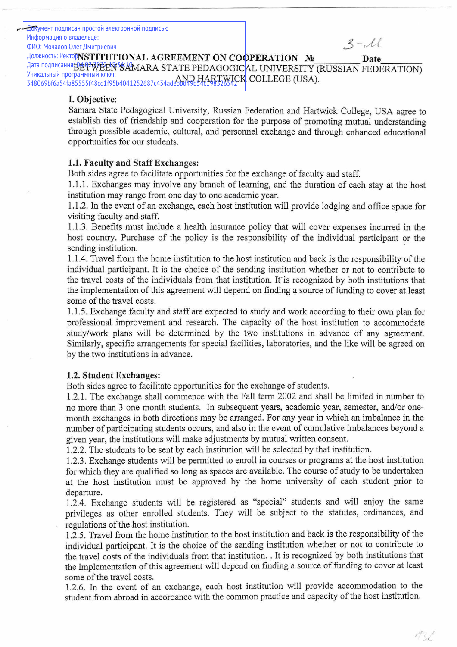Документ подписан простой электронной подписью Информация о владельце:  $3-\lambda l$ ФИО: Мочалов Олег Дмитриевич **ДОЛЖНОСТЬ: РЕКТОРГУБТІТUTIONAL AGREEMENT ON COOPERATION Nº** Date Дата подписания ВЕФ WEEN SAMARA STATE PEDAGOGICAL UNIVERSITY (RUSSIAN FEDERATION) Уникальный программный ключ: 348069bf6a54fa85555f48cd1f95b4041252687c434adebhd49h54c1983)X4CK COLLEGE (USA).

#### I. Objective:

Samara State Pedagogical University, Russian Federation and Hartwick College, USA agree to establish ties of friendship and cooperation for the purpose of promoting mutual understanding through possible academic, cultural, and personnel exchange and through enhanced educational opportunities for our students.

# 1.1. Faculty and Staff Exchanges:

Both sides agree to facilitate opportunities for the exchange of faculty and staff.

1.1.1. Exchanges may involve any branch of learning, and the duration of each stay at the host institution may range from one day to one academic year.

1.1.2. In the event of an exchange, each host institution will provide lodging and office space for visiting faculty and staff.

1.1.3. Benefits must include a health insurance policy that will cover expenses incurred in the host country. Purchase of the policy is the responsibility of the individual participant or the sending institution.

1.1.4. Travel from the home institution to the host institution and back is the responsibility of the individual participant. It is the choice of the sending institution whether or not to contribute to the travel costs of the individuals from that institution. It is recognized by both institutions that the implementation of this agreement will depend on finding a source of funding to cover at least some of the travel costs.

1.1.5. Exchange faculty and staff are expected to study and work according to their own plan for professional improvement and research. The capacity of the host institution to accommodate study/work plans will be determined by the two institutions in advance of any agreement. Similarly, specific arrangements for special facilities, laboratories, and the like will be agreed on by the two institutions in advance.

# 1.2. Student Exchanges:

Both sides agree to facilitate opportunities for the exchange of students.

1.2.1. The exchange shall commence with the Fall term 2002 and shall be limited in number to no more than 3 one month students. In subsequent years, academic year, semester, and/or onemonth exchanges in both directions may be arranged. For any year in which an imbalance in the number of participating students occurs, and also in the event of cumulative imbalances beyond a given year, the institutions will make adjustments by mutual written consent.

1.2.2. The students to be sent by each institution will be selected by that institution.

1.2.3. Exchange students will be permitted to enroll in courses or programs at the host institution for which they are qualified so long as spaces are available. The course of study to be undertaken at the host institution must be approved by the home university of each student prior to departure.

1.2.4. Exchange students will be registered as "special" students and will enjoy the same privileges as other enrolled students. They will be subject to the statutes, ordinances, and regulations of the host institution.

1.2.5. Travel from the home institution to the host institution and back is the responsibility of the individual participant. It is the choice of the sending institution whether or not to contribute to the travel costs of the individuals from that institution. . It is recognized by both institutions that the implementation of this agreement will depend on finding a source of funding to cover at least some of the travel costs.

1.2.6. In the event of an exchange, each host institution will provide accommodation to the student from abroad in accordance with the common practice and capacity of the host institution.